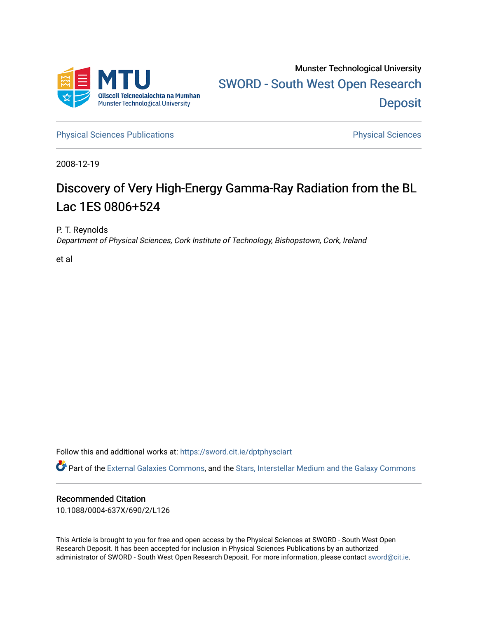

[Physical Sciences Publications](https://sword.cit.ie/dptphysciart) **Physical Sciences** Physical Sciences

2008-12-19

# Discovery of Very High-Energy Gamma-Ray Radiation from the BL Lac 1ES 0806+524

P. T. Reynolds Department of Physical Sciences, Cork Institute of Technology, Bishopstown, Cork, Ireland

et al

Follow this and additional works at: [https://sword.cit.ie/dptphysciart](https://sword.cit.ie/dptphysciart?utm_source=sword.cit.ie%2Fdptphysciart%2F101&utm_medium=PDF&utm_campaign=PDFCoverPages)

Part of the [External Galaxies Commons](http://network.bepress.com/hgg/discipline/128?utm_source=sword.cit.ie%2Fdptphysciart%2F101&utm_medium=PDF&utm_campaign=PDFCoverPages), and the [Stars, Interstellar Medium and the Galaxy Commons](http://network.bepress.com/hgg/discipline/127?utm_source=sword.cit.ie%2Fdptphysciart%2F101&utm_medium=PDF&utm_campaign=PDFCoverPages) 

## Recommended Citation

10.1088/0004-637X/690/2/L126

This Article is brought to you for free and open access by the Physical Sciences at SWORD - South West Open Research Deposit. It has been accepted for inclusion in Physical Sciences Publications by an authorized administrator of SWORD - South West Open Research Deposit. For more information, please contact [sword@cit.ie.](mailto:sword@cit.ie)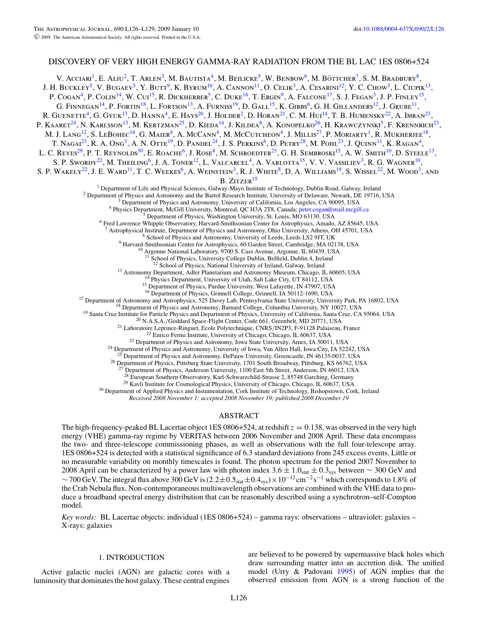### DISCOVERY OF VERY HIGH ENERGY GAMMA-RAY RADIATION FROM THE BL LAC 1ES 0806+524

V. Acciari<sup>1</sup>, E. Aliu<sup>2</sup>, T. Arlen<sup>3</sup>, M. Bautista<sup>4</sup>, M. Beilicke<sup>5</sup>, W. Benbow<sup>6</sup>, M. Böttcher<sup>7</sup>, S. M. Bradbury<sup>8</sup>, J. H. BUCKLEY<sup>5</sup>, V. BUGAEV<sup>5</sup>, Y. BUTT<sup>9</sup>, K. BYRUM<sup>10</sup>, A. CANNON<sup>11</sup>, O. CELIK<sup>3</sup>, A. CESARINI<sup>12</sup>, Y. C. CHOW<sup>3</sup>, L. CIUPIK<sup>13</sup>, P.  $\text{CoGAN}^4$ , P. Colin<sup>14</sup>, W. Cui<sup>15</sup>, R. Dickherber<sup>5</sup>, C. Duke<sup>16</sup>, T. Ergin<sup>9</sup>, A. Falcone<sup>17</sup>, S. J. Fegan<sup>3</sup>, J. P. Finley<sup>15</sup>, G. FINNEGAN<sup>14</sup>, P. FORTIN<sup>18</sup>, L. FORTSON<sup>13</sup>, A. FURNISS<sup>19</sup>, D. GALL<sup>15</sup>, K. GIBBS<sup>6</sup>, G. H. GILLANDERS<sup>12</sup>, J. GRUBE<sup>11</sup>, R. GUENETTE<sup>4</sup>, G. GYUK<sup>13</sup>, D. HANNA<sup>4</sup>, E. HAYS<sup>20</sup>, J. HOLDER<sup>2</sup>, D. HORAN<sup>21</sup>, C. M. HUI<sup>14</sup>, T. B. HUMENSKY<sup>22</sup>, A. IMRAN<sup>23</sup> P. KAARET<sup>24</sup>, N. KARLSSON<sup>13</sup>, M. KERTZMAN<sup>25</sup>, D. KIEDA<sup>14</sup>, J. KILDEA<sup>6</sup>, A. KONOPELKO<sup>26</sup>, H. KRAWCZYNSKI<sup>5</sup>, F. KRENNRICH<sup>23</sup>, M. J. Lang<sup>12</sup>, S. LeBohec<sup>14</sup>, G. Maier<sup>4</sup>, A. McCann<sup>4</sup>, M. McCutcheon<sup>4</sup>, J. Millis<sup>27</sup>, P. Moriarty<sup>1</sup>, R. Mukherjee<sup>18</sup>, T. Nagai<sup>23</sup>, R. A. Ong<sup>3</sup>, A. N. Otte<sup>19</sup>, D. Pandel<sup>24</sup>, J. S. Perkins<sup>6</sup>, D. Petry<sup>28</sup>, M. Pohl<sup>23</sup>, J. Quinn<sup>11</sup>, K. Ragan<sup>4</sup>, L. C. Reyes<sup>29</sup>, P. T. Reynolds<sup>30</sup>, E. Roache<sup>6</sup>, J. Rose<sup>8</sup>, M. Schroedter<sup>23</sup>, G. H. Sembroski<sup>15</sup>, A. W. Smith<sup>10</sup>, D. Steele<sup>13</sup>, S. P. SWORDY<sup>22</sup>, M. THEILING<sup>6</sup>, J. A. TONER<sup>12</sup>, L. VALCARCEL<sup>4</sup>, A. VARLOTTA<sup>15</sup>, V. V. VASSILIEV<sup>3</sup>, R. G. WAGNER<sup>10</sup>, S. P. WAKELY<sup>22</sup>, J. E. WARD<sup>11</sup>, T. C. WEEKES<sup>6</sup>, A. WEINSTEIN<sup>3</sup>, R. J. WHITE<sup>8</sup>, D. A. WILLIAMS<sup>19</sup>, S. WISSEL<sup>22</sup>, M. WOOD<sup>3</sup>, AND B. ZITZER<sup>15</sup> <sup>1</sup> Department of Life and Physical Sciences, Galway-Mayo Institute of Technology, Dublin Road, Galway, Ireland  $^2$  Department of Physics and Astronomy and the Bartol Research Institute, University of Delaware, Newark, D <sup>8</sup> School of Physics and Astronomy, University of Leeds, Leeds LS2 9JT, UK<br><sup>9</sup> Harvard-Smithsonian Center for Astrophysics, 60 Garden Street, Cambridge, MA 02138, USA<br><sup>10</sup> Argonne National Laboratory, 9700 S. Cass Avenue, <sup>11</sup> School of Physics, University College Dublin, Belfield, Dublin 4, Ireland <sup>12</sup> School of Physics, National University of Ireland, Galway, Ireland <sup>13</sup> Astronomy Department, Adler Planetarium and Astronomy Museum, Chicago, IL 60605, USA <sup>14</sup> Physics Department, University of Utah, Salt Lake City, UT 84112, USA <sup>15</sup> Department of Physics, Purdue University, West Lafa <sup>17</sup> Department of Astronomy and Astrophysics, 525 Davey Lab, Pennsylvania State University, University Park, PA 16802, USA<br><sup>18</sup> Department of Physics and Astronomy, Barnard College, Columbia University, NY 10027, USA<br><sup>18</sup> <sup>26</sup> Department of Physics, Pittsburg State University, 1701 South Broadway, Pittsburg, KS 66762, USA Department of Physics, Anderson University, 1100 East 5th Street, Anderson, IN 46012, USA <sup>28</sup> European Southern Observatory, Karl-Schwarzchild-Strasse 2, 85748 Garching, Germany

 $^{29}$  Kavli Institute for Cosmological Physics, University of Chicago, Chicago, IL 60637, USA  $^{30}$  Department of Applied Physics and Instumentation, Cork Institute of Technology, Bishopstown, Cork, Ireland

*Received 2008 November 1; accepted 2008 November 19; published 2008 December 19*

#### ABSTRACT

The high-frequency-peaked BL Lacertae object 1ES 0806+524, at redshift  $z = 0.138$ , was observed in the very high energy (VHE) gamma-ray regime by VERITAS between 2006 November and 2008 April. These data encompass the two- and three-telescope commissioning phases, as well as observations with the full four-telescope array. 1ES 0806+524 is detected with a statistical significance of 6.3 standard deviations from 245 excess events. Little or no measurable variability on monthly timescales is found. The photon spectrum for the period 2007 November to 2008 April can be characterized by a power law with photon index 3.6 ± 1.0<sub>stat</sub> ± 0.3<sub>sys</sub> between ∼ 300 GeV and ~ 700 GeV. The integral flux above 300 GeV is  $(2.2 \pm 0.5<sub>stat</sub> \pm 0.4<sub>sys</sub>) \times 10<sup>-12</sup> cm<sup>-2</sup> s<sup>-1</sup> which corresponds to 1.8% of$ the Crab Nebula flux. Non-contemporaneous multiwavelength observations are combined with the VHE data to produce a broadband spectral energy distribution that can be reasonably described using a synchrotron–self-Compton model.

*Key words:* BL Lacertae objects: individual (1ES 0806+524) – gamma rays: observations – ultraviolet: galaxies – X-rays: galaxies

#### 1. INTRODUCTION

Active galactic nuclei (AGN) are galactic cores with a luminosity that dominates the host galaxy. These central engines

are believed to be powered by supermassive black holes which draw surrounding matter into an accretion disk. The unified model (Urry & Padovani [1995\)](#page-4-0) of AGN implies that the observed emission from AGN is a strong function of the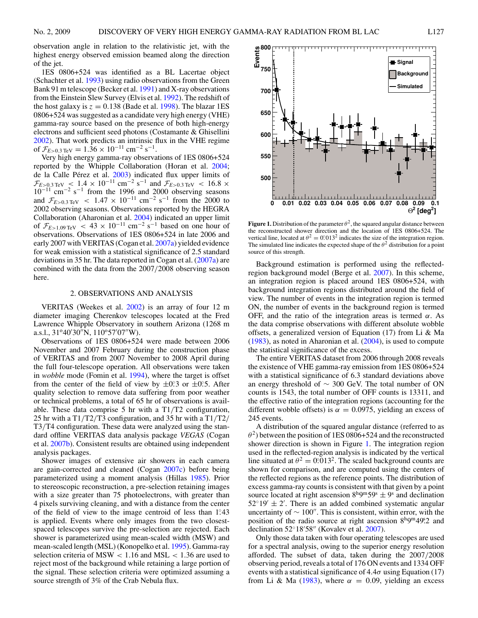observation angle in relation to the relativistic jet, with the highest energy observed emission beamed along the direction of the jet.

1ES 0806+524 was identified as a BL Lacertae object (Schachter et al. [1993\)](#page-4-0) using radio observations from the Green Bank 91 m telescope (Becker et al. [1991\)](#page-4-0) and X-ray observations from the Einstein Slew Survey (Elvis et al. [1992\)](#page-4-0). The redshift of the host galaxy is  $z = 0.138$  (Bade et al. [1998\)](#page-4-0). The blazar 1ES 0806+524 was suggested as a candidate very high energy (VHE) gamma-ray source based on the presence of both high-energy electrons and sufficient seed photons (Costamante & Ghisellini [2002\)](#page-4-0). That work predicts an intrinsic flux in the VHE regime of  $\mathcal{F}_{E>0.3 \text{ TeV}} = 1.36 \times 10^{-11} \text{ cm}^{-2} \text{ s}^{-1}.$ 

Very high energy gamma-ray observations of 1ES 0806+524 reported by the Whipple Collaboration (Horan et al. [2004;](#page-4-0) de la Calle Pérez et al. [2003\)](#page-4-0) indicated flux upper limits of  $\mathcal{F}_{E>0.3 \text{ TeV}} < 1.4 \times 10^{-11} \text{ cm}^{-2} \text{ s}^{-1}$  and  $\mathcal{F}_{E>0.3 \text{ TeV}} < 16.8 \times 10^{-11} \text{ cm}^{-2} \text{ s}^{-1}$  from the 1996 and 2000 observing seasons and  $\mathcal{F}_{E>0.3 \text{ TeV}}$  < 1.47 × 10<sup>-11</sup> cm<sup>-2</sup> s<sup>-1</sup> from the 2000 to 2002 observing seasons. Observations reported by the HEGRA Collaboration (Aharonian et al. [2004\)](#page-4-0) indicated an upper limit of  $\mathcal{F}_{E>1.09 \text{ TeV}} < 43 \times 10^{-11} \text{ cm}^{-2} \text{ s}^{-1}$  based on one hour of observations. Observations of 1ES 0806+524 in late 2006 and early 2007 with VERITAS (Cogan et al. [2007a\)](#page-4-0) yielded evidence for weak emission with a statistical significance of 2.5 standard deviations in 35 hr. The data reported in Cogan et al. [\(2007a\)](#page-4-0) are combined with the data from the 2007*/*2008 observing season here.

#### 2. OBSERVATIONS AND ANALYSIS

VERITAS (Weekes et al. [2002\)](#page-4-0) is an array of four 12 m diameter imaging Cherenkov telescopes located at the Fred Lawrence Whipple Observatory in southern Arizona (1268 m a.s.l.,  $31^{\circ}40'30''$ N,  $110^{\circ}57'07''$ W).

Observations of 1ES 0806+524 were made between 2006 November and 2007 February during the construction phase of VERITAS and from 2007 November to 2008 April during the full four-telescope operation. All observations were taken in *wobble* mode (Fomin et al. [1994\)](#page-4-0), where the target is offset from the center of the field of view by  $\pm 0.3$  or  $\pm 0.5$ . After quality selection to remove data suffering from poor weather or technical problems, a total of 65 hr of observations is available. These data comprise 5 hr with a T1*/*T2 configuration, 25 hr with a T1*/*T2*/*T3 configuration, and 35 hr with a T1*/*T2*/* T3*/*T4 configuration. These data were analyzed using the standard offline VERITAS data analysis package *VEGAS* (Cogan et al. [2007b\)](#page-4-0). Consistent results are obtained using independent analysis packages.

Shower images of extensive air showers in each camera are gain-corrected and cleaned (Cogan [2007c\)](#page-4-0) before being parameterized using a moment analysis (Hillas [1985\)](#page-4-0). Prior to stereoscopic reconstruction, a pre-selection retaining images with a size greater than 75 photoelectrons, with greater than 4 pixels surviving cleaning, and with a distance from the center of the field of view to the image centroid of less than 1°43 is applied. Events where only images from the two closestspaced telescopes survive the pre-selection are rejected. Each shower is parameterized using mean-scaled width (MSW) and mean-scaled length (MSL) (Konopelko et al. [1995\)](#page-4-0). Gamma-ray selection criteria of MSW *<* 1*.*16 and MSL *<* 1*.*36 are used to reject most of the background while retaining a large portion of the signal. These selection criteria were optimized assuming a source strength of 3% of the Crab Nebula flux.

**Figure 1.** Distribution of the parameter  $\theta^2$ , the squared angular distance between the reconstructed shower direction and the location of 1ES 0806+524. The vertical line, located at  $\theta^2 = 0.013^2$  indicates the size of the integration region. The simulated line indicates the expected shape of the  $\theta^2$  distribution for a point source of this strength.

Background estimation is performed using the reflectedregion background model (Berge et al. [2007\)](#page-4-0). In this scheme, an integration region is placed around 1ES 0806+524, with background integration regions distributed around the field of view. The number of events in the integration region is termed ON, the number of events in the background region is termed OFF, and the ratio of the integration areas is termed *α*. As the data comprise observations with different absolute wobble offsets, a generalized version of Equation (17) from Li & Ma [\(1983\)](#page-4-0), as noted in Aharonian et al. [\(2004\)](#page-4-0), is used to compute the statistical significance of the excess.

The entire VERITAS dataset from 2006 through 2008 reveals the existence of VHE gamma-ray emission from 1ES 0806+524 with a statistical significance of 6.3 standard deviations above an energy threshold of  $\sim$  300 GeV. The total number of ON counts is 1543, the total number of OFF counts is 13311, and the effective ratio of the integration regions (accounting for the different wobble offsets) is  $\alpha = 0.0975$ , yielding an excess of 245 events.

A distribution of the squared angular distance (referred to as  $\theta^2$ ) between the position of 1ES 0806+524 and the reconstructed shower direction is shown in Figure 1. The integration region used in the reflected-region analysis is indicated by the vertical line situated at  $\theta^2 = 0.013^2$ . The scaled background counts are shown for comparison, and are computed using the centers of the reflected regions as the reference points. The distribution of excess gamma-ray counts is consistent with that given by a point source located at right ascension  $8<sup>h</sup>9<sup>m</sup>59<sup>s</sup> \pm 9<sup>s</sup>$  and declination  $52°19' \pm 2'$ . There is an added combined systematic angular uncertainty of  $\sim 100''$ . This is consistent, within error, with the position of the radio source at right ascension 8<sup>h</sup>9<sup>m</sup>49<sup>°</sup>. 2 and declination  $52^{\circ}18'58''$  (Kovalev et al.  $2007$ ).

Only those data taken with four operating telescopes are used for a spectral analysis, owing to the superior energy resolution afforded. The subset of data, taken during the 2007*/*2008 observing period, reveals a total of 176 ON events and 1334 OFF events with a statistical significance of  $4.4\sigma$  using Equation (17) from Li & Ma [\(1983\)](#page-4-0), where  $\alpha = 0.09$ , yielding an excess

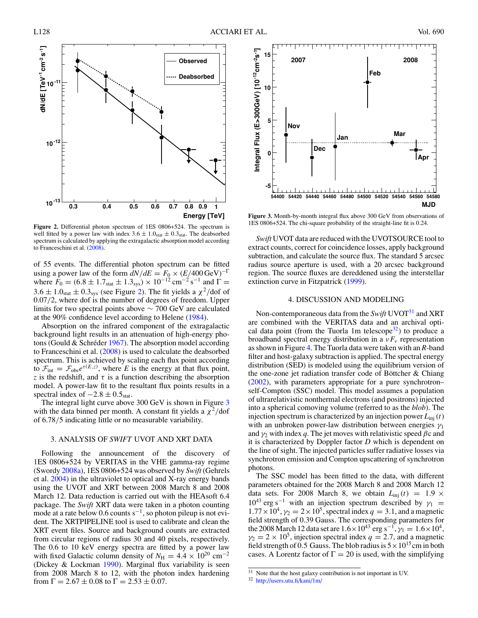

**Figure 2.** Differential photon spectrum of 1ES 0806+524. The spectrum is well fitted by a power law with index  $3.6 \pm 1.0$ <sub>stat</sub>  $\pm 0.3$ <sub>stat</sub>. The deabsorbed spectrum is calculated by applying the extragalactic absorption model according to Franceschini et al. [\(2008\)](#page-4-0).

of 55 events. The differential photon spectrum can be fitted using a power law of the form  $dN/dE = F_0 \times (E/400 \,\text{GeV})^{-\Gamma}$ where  $F_0 = (6.8 \pm 1.7<sub>stat</sub> \pm 1.3<sub>sys</sub>) \times 10<sup>-12</sup> cm<sup>-2</sup> s<sup>-1</sup>$  and  $\Gamma =$  $3.6 \pm 1.0$ <sub>stat</sub>  $\pm 0.3$ <sub>sys</sub> (see Figure 2). The fit yields a  $\chi^2$ /dof of 0.07*/*2, where dof is the number of degrees of freedom. Upper limits for two spectral points above ∼ 700 GeV are calculated at the 90% confidence level according to Helene [\(1984\)](#page-4-0).

Absorption on the infrared component of the extragalactic background light results in an attenuation of high-energy photons (Gould  $&$  Schréder [1967\)](#page-4-0). The absorption model according to Franceschini et al. [\(2008\)](#page-4-0) is used to calculate the deabsorbed spectrum. This is achieved by scaling each flux point according to  $\mathcal{F}_{int} = \mathcal{F}_{obs}e^{\tau(E,z)}$ , where *E* is the energy at that flux point, *z* is the redshift, and  $\tau$  is a function describing the absorption model. A power-law fit to the resultant flux points results in a spectral index of  $-2.8 \pm 0.5$ <sub>stat</sub>.

The integral light curve above 300 GeV is shown in Figure 3 with the data binned per month. A constant fit yields a  $\chi^2$ /dof of 6.78*/*5 indicating little or no measurable variability.

#### 3. ANALYSIS OF *SWIFT* UVOT AND XRT DATA

Following the announcement of the discovery of 1ES 0806+524 by VERITAS in the VHE gamma-ray regime (Swordy [2008a\)](#page-4-0), 1ES 0806+524 was observed by *Swift* (Gehrels et al. [2004\)](#page-4-0) in the ultraviolet to optical and X-ray energy bands using the UVOT and XRT between 2008 March 8 and 2008 March 12. Data reduction is carried out with the HEAsoft 6.4 package. The *Swift* XRT data were taken in a photon counting mode at a rate below 0.6 counts  $s^{-1}$ , so photon pileup is not evident. The XRTPIPELINE tool is used to calibrate and clean the XRT event files. Source and background counts are extracted from circular regions of radius 30 and 40 pixels, respectively. The 0.6 to 10 keV energy spectra are fitted by a power law with fixed Galactic column density of  $N_{\text{H}} = 4.4 \times 10^{20} \text{ cm}^{-2}$ (Dickey & Lockman [1990\)](#page-4-0). Marginal flux variability is seen from 2008 March 8 to 12, with the photon index hardening from  $\Gamma = 2.67 \pm 0.08$  to  $\Gamma = 2.53 \pm 0.07$ .



**Figure 3.** Month-by-month integral flux above 300 GeV from observations of 1ES 0806+524. The chi-square probability of the straight-line fit is 0.24.

*Swift* UVOT data are reduced with the UVOTSOURCE tool to extract counts, correct for coincidence losses, apply background subtraction, and calculate the source flux. The standard 5 arcsec radius source aperture is used, with a 20 arcsec background region. The source fluxes are dereddened using the interstellar extinction curve in Fitzpatrick [\(1999\)](#page-4-0).

#### 4. DISCUSSION AND MODELING

Non-contemporaneous data from the *Swift* UVOT<sup>31</sup> and XRT are combined with the VERITAS data and an archival optical data point (from the Tuorla 1m telescope $(32)$ ) to produce a broadband spectral energy distribution in a  $vF_v$  representation as shown in Figure [4.](#page-4-0) The Tuorla data were taken with an *R*-band filter and host-galaxy subtraction is applied. The spectral energy distribution (SED) is modeled using the equilibrium version of the one-zone jet radiation transfer code of Böttcher  $&$  Chiang [\(2002\)](#page-4-0), with parameters appropriate for a pure synchrotron– self-Compton (SSC) model. This model assumes a population of ultrarelativistic nonthermal electrons (and positrons) injected into a spherical comoving volume (referred to as the *blob*). The injection spectrum is characterized by an injection power  $L_{\text{inj}}(t)$ with an unbroken power-law distribution between energies *γ*<sup>1</sup> and  $\gamma_2$  with index *q*. The jet moves with relativistic speed  $\beta c$  and it is characterized by Doppler factor *D* which is dependent on the line of sight. The injected particles suffer radiative losses via synchrotron emission and Compton upscattering of synchrotron photons.

The SSC model has been fitted to the data, with different parameters obtained for the 2008 March 8 and 2008 March 12 data sets. For 2008 March 8, we obtain  $L_{\text{inj}}(t) = 1.9 \times$  $10^{43}$  erg s<sup>-1</sup> with an injection spectrum described by  $\gamma_1$  =  $1.77 \times 10^4$ ,  $\gamma_2 = 2 \times 10^5$ , spectral index  $q = 3.1$ , and a magnetic field strength of 0*.*39 Gauss. The corresponding parameters for the 2008 March 12 data set are  $1.6 \times 10^{43}$  erg s<sup>-1</sup>,  $\gamma_1 = 1.6 \times 10^4$ ,  $\gamma_2 = 2 \times 10^5$ , injection spectral index  $q = 2.7$ , and a magnetic field strength of 0.5 Gauss. The blob radius is  $5 \times 10^{15}$  cm in both cases. A Lorentz factor of  $\Gamma = 20$  is used, with the simplifying

 $31$  Note that the host galaxy contribution is not important in UV.

<sup>32</sup> <http://users.utu.fi/kani/1m/>